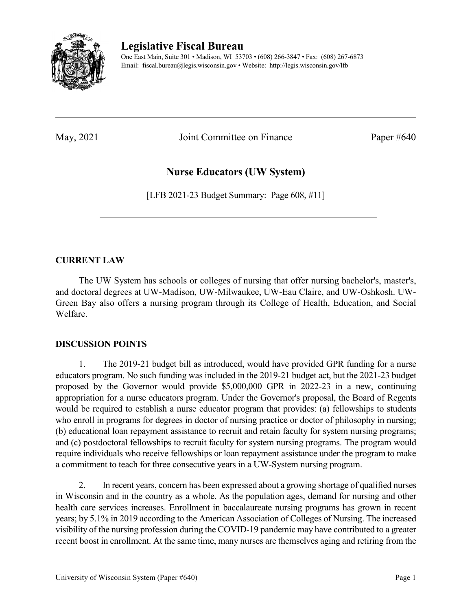

## **Legislative Fiscal Bureau**

One East Main, Suite 301 • Madison, WI 53703 • (608) 266-3847 • Fax: (608) 267-6873 Email: fiscal.bureau@legis.wisconsin.gov • Website:<http://legis.wisconsin.gov/lfb>

May, 2021 Joint Committee on Finance Paper #640

# **Nurse Educators (UW System)**

[LFB 2021-23 Budget Summary: Page 608, #11]

### **CURRENT LAW**

The UW System has schools or colleges of nursing that offer nursing bachelor's, master's, and doctoral degrees at UW-Madison, UW-Milwaukee, UW-Eau Claire, and UW-Oshkosh. UW-Green Bay also offers a nursing program through its College of Health, Education, and Social Welfare.

### **DISCUSSION POINTS**

1. The 2019-21 budget bill as introduced, would have provided GPR funding for a nurse educators program. No such funding was included in the 2019-21 budget act, but the 2021-23 budget proposed by the Governor would provide \$5,000,000 GPR in 2022-23 in a new, continuing appropriation for a nurse educators program. Under the Governor's proposal, the Board of Regents would be required to establish a nurse educator program that provides: (a) fellowships to students who enroll in programs for degrees in doctor of nursing practice or doctor of philosophy in nursing; (b) educational loan repayment assistance to recruit and retain faculty for system nursing programs; and (c) postdoctoral fellowships to recruit faculty for system nursing programs. The program would require individuals who receive fellowships or loan repayment assistance under the program to make a commitment to teach for three consecutive years in a UW-System nursing program.

2. In recent years, concern has been expressed about a growing shortage of qualified nurses in Wisconsin and in the country as a whole. As the population ages, demand for nursing and other health care services increases. Enrollment in baccalaureate nursing programs has grown in recent years; by 5.1% in 2019 according to the American Association of Colleges of Nursing. The increased visibility of the nursing profession during the COVID-19 pandemic may have contributed to a greater recent boost in enrollment. At the same time, many nurses are themselves aging and retiring from the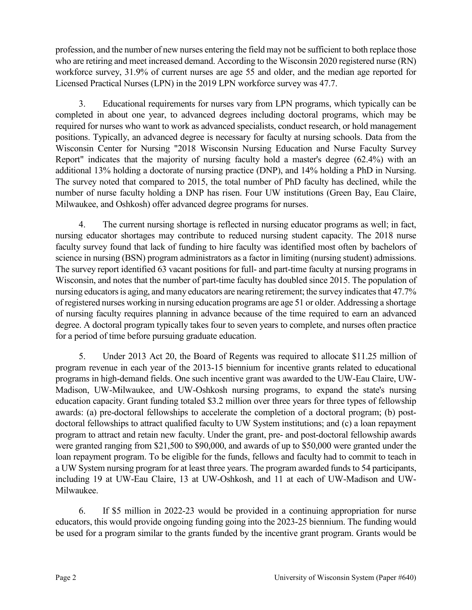profession, and the number of new nurses entering the field may not be sufficient to both replace those who are retiring and meet increased demand. According to the Wisconsin 2020 registered nurse (RN) workforce survey, 31.9% of current nurses are age 55 and older, and the median age reported for Licensed Practical Nurses (LPN) in the 2019 LPN workforce survey was 47.7.

3. Educational requirements for nurses vary from LPN programs, which typically can be completed in about one year, to advanced degrees including doctoral programs, which may be required for nurses who want to work as advanced specialists, conduct research, or hold management positions. Typically, an advanced degree is necessary for faculty at nursing schools. Data from the Wisconsin Center for Nursing "2018 Wisconsin Nursing Education and Nurse Faculty Survey Report" indicates that the majority of nursing faculty hold a master's degree (62.4%) with an additional 13% holding a doctorate of nursing practice (DNP), and 14% holding a PhD in Nursing. The survey noted that compared to 2015, the total number of PhD faculty has declined, while the number of nurse faculty holding a DNP has risen. Four UW institutions (Green Bay, Eau Claire, Milwaukee, and Oshkosh) offer advanced degree programs for nurses.

4. The current nursing shortage is reflected in nursing educator programs as well; in fact, nursing educator shortages may contribute to reduced nursing student capacity. The 2018 nurse faculty survey found that lack of funding to hire faculty was identified most often by bachelors of science in nursing (BSN) program administrators as a factor in limiting (nursing student) admissions. The survey report identified 63 vacant positions for full- and part-time faculty at nursing programs in Wisconsin, and notes that the number of part-time faculty has doubled since 2015. The population of nursing educators is aging, and many educators are nearing retirement; the survey indicates that 47.7% of registered nurses working in nursing education programs are age 51 or older. Addressing a shortage of nursing faculty requires planning in advance because of the time required to earn an advanced degree. A doctoral program typically takes four to seven years to complete, and nurses often practice for a period of time before pursuing graduate education.

5. Under 2013 Act 20, the Board of Regents was required to allocate \$11.25 million of program revenue in each year of the 2013-15 biennium for incentive grants related to educational programs in high-demand fields. One such incentive grant was awarded to the UW-Eau Claire, UW-Madison, UW-Milwaukee, and UW-Oshkosh nursing programs, to expand the state's nursing education capacity. Grant funding totaled \$3.2 million over three years for three types of fellowship awards: (a) pre-doctoral fellowships to accelerate the completion of a doctoral program; (b) postdoctoral fellowships to attract qualified faculty to UW System institutions; and (c) a loan repayment program to attract and retain new faculty. Under the grant, pre- and post-doctoral fellowship awards were granted ranging from \$21,500 to \$90,000, and awards of up to \$50,000 were granted under the loan repayment program. To be eligible for the funds, fellows and faculty had to commit to teach in a UW System nursing program for at least three years. The program awarded funds to 54 participants, including 19 at UW-Eau Claire, 13 at UW-Oshkosh, and 11 at each of UW-Madison and UW-Milwaukee.

6. If \$5 million in 2022-23 would be provided in a continuing appropriation for nurse educators, this would provide ongoing funding going into the 2023-25 biennium. The funding would be used for a program similar to the grants funded by the incentive grant program. Grants would be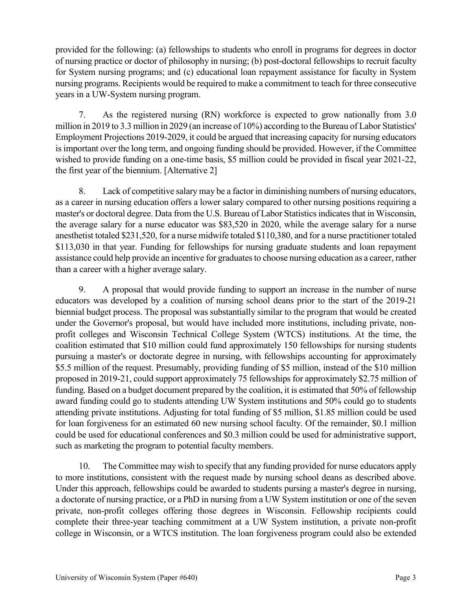provided for the following: (a) fellowships to students who enroll in programs for degrees in doctor of nursing practice or doctor of philosophy in nursing; (b) post-doctoral fellowships to recruit faculty for System nursing programs; and (c) educational loan repayment assistance for faculty in System nursing programs. Recipients would be required to make a commitment to teach for three consecutive years in a UW-System nursing program.

7. As the registered nursing (RN) workforce is expected to grow nationally from 3.0 million in 2019 to 3.3 million in 2029 (an increase of 10%) according to the Bureau of Labor Statistics' Employment Projections 2019-2029, it could be argued that increasing capacity for nursing educators is important over the long term, and ongoing funding should be provided. However, if the Committee wished to provide funding on a one-time basis, \$5 million could be provided in fiscal year 2021-22, the first year of the biennium. [Alternative 2]

8. Lack of competitive salary may be a factor in diminishing numbers of nursing educators, as a career in nursing education offers a lower salary compared to other nursing positions requiring a master's or doctoral degree. Data from the U.S. Bureau of Labor Statistics indicates that in Wisconsin, the average salary for a nurse educator was \$83,520 in 2020, while the average salary for a nurse anesthetist totaled \$231,520, for a nurse midwife totaled \$110,380, and for a nurse practitioner totaled \$113,030 in that year. Funding for fellowships for nursing graduate students and loan repayment assistance could help provide an incentive for graduates to choose nursing education as a career, rather than a career with a higher average salary.

9. A proposal that would provide funding to support an increase in the number of nurse educators was developed by a coalition of nursing school deans prior to the start of the 2019-21 biennial budget process. The proposal was substantially similar to the program that would be created under the Governor's proposal, but would have included more institutions, including private, nonprofit colleges and Wisconsin Technical College System (WTCS) institutions. At the time, the coalition estimated that \$10 million could fund approximately 150 fellowships for nursing students pursuing a master's or doctorate degree in nursing, with fellowships accounting for approximately \$5.5 million of the request. Presumably, providing funding of \$5 million, instead of the \$10 million proposed in 2019-21, could support approximately 75 fellowships for approximately \$2.75 million of funding. Based on a budget document prepared by the coalition, it is estimated that 50% of fellowship award funding could go to students attending UW System institutions and 50% could go to students attending private institutions. Adjusting for total funding of \$5 million, \$1.85 million could be used for loan forgiveness for an estimated 60 new nursing school faculty. Of the remainder, \$0.1 million could be used for educational conferences and \$0.3 million could be used for administrative support, such as marketing the program to potential faculty members.

10. The Committee may wish to specify that any funding provided for nurse educators apply to more institutions, consistent with the request made by nursing school deans as described above. Under this approach, fellowships could be awarded to students pursing a master's degree in nursing, a doctorate of nursing practice, or a PhD in nursing from a UW System institution or one of the seven private, non-profit colleges offering those degrees in Wisconsin. Fellowship recipients could complete their three-year teaching commitment at a UW System institution, a private non-profit college in Wisconsin, or a WTCS institution. The loan forgiveness program could also be extended